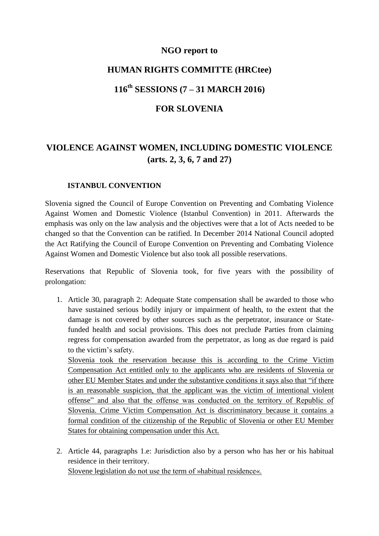### **NGO report to**

## **HUMAN RIGHTS COMMITTE (HRCtee)**

## **116th SESSIONS (7 – 31 MARCH 2016)**

#### **FOR SLOVENIA**

# **VIOLENCE AGAINST WOMEN, INCLUDING DOMESTIC VIOLENCE (arts. 2, 3, 6, 7 and 27)**

#### **ISTANBUL CONVENTION**

Slovenia signed the Council of Europe Convention on Preventing and Combating Violence Against Women and Domestic Violence (Istanbul Convention) in 2011. Afterwards the emphasis was only on the law analysis and the objectives were that a lot of Acts needed to be changed so that the Convention can be ratified. In December 2014 National Council adopted the Act Ratifying the Council of Europe Convention on Preventing and Combating Violence Against Women and Domestic Violence but also took all possible reservations.

Reservations that Republic of Slovenia took, for five years with the possibility of prolongation:

1. Article 30, paragraph 2: Adequate State compensation shall be awarded to those who have sustained serious bodily injury or impairment of health, to the extent that the damage is not covered by other sources such as the perpetrator, insurance or Statefunded health and social provisions. This does not preclude Parties from claiming regress for compensation awarded from the perpetrator, as long as due regard is paid to the victim's safety.

Slovenia took the reservation because this is according to the Crime Victim Compensation Act entitled only to the applicants who are residents of Slovenia or other EU Member States and under the substantive conditions it says also that "if there is an reasonable suspicion, that the applicant was the victim of intentional violent offense" and also that the offense was conducted on the territory of Republic of Slovenia. Crime Victim Compensation Act is discriminatory because it contains a formal condition of the citizenship of the Republic of Slovenia or other EU Member States for obtaining compensation under this Act.

2. Article 44, paragraphs 1.e: Jurisdiction also by a person who has her or his habitual residence in their territory. Slovene legislation do not use the term of »habitual residence«.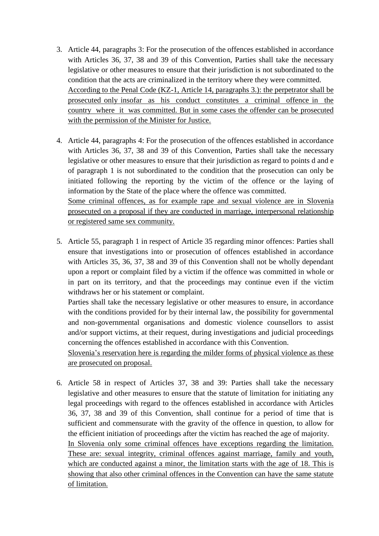- 3. Article 44, paragraphs 3: For the prosecution of the offences established in accordance with Articles 36, 37, 38 and 39 of this Convention, Parties shall take the necessary legislative or other measures to ensure that their jurisdiction is not subordinated to the condition that the acts are criminalized in the territory where they were committed. According to the Penal Code (KZ-1, Article 14, paragraphs 3.): the perpetrator shall be prosecuted only insofar as his conduct constitutes a criminal offence in the country where it was committed. But in some cases the offender can be prosecuted with the permission of the Minister for Justice.
- 4. Article 44, paragraphs 4: For the prosecution of the offences established in accordance with Articles 36, 37, 38 and 39 of this Convention, Parties shall take the necessary legislative or other measures to ensure that their jurisdiction as regard to points d and e of paragraph 1 is not subordinated to the condition that the prosecution can only be initiated following the reporting by the victim of the offence or the laying of information by the State of the place where the offence was committed. Some criminal offences, as for example rape and sexual violence are in Slovenia

prosecuted on a proposal if they are conducted in marriage, interpersonal relationship or registered same sex community.

5. Article 55, paragraph 1 in respect of Article 35 regarding minor offences: Parties shall ensure that investigations into or prosecution of offences established in accordance with Articles 35, 36, 37, 38 and 39 of this Convention shall not be wholly dependant upon a report or complaint filed by a victim if the offence was committed in whole or in part on its territory, and that the proceedings may continue even if the victim withdraws her or his statement or complaint.

Parties shall take the necessary legislative or other measures to ensure, in accordance with the conditions provided for by their internal law, the possibility for governmental and non-governmental organisations and domestic violence counsellors to assist and/or support victims, at their request, during investigations and judicial proceedings concerning the offences established in accordance with this Convention.

Slovenia's reservation here is regarding the milder forms of physical violence as these are prosecuted on proposal.

6. Article 58 in respect of Articles 37, 38 and 39: Parties shall take the necessary legislative and other measures to ensure that the statute of limitation for initiating any legal proceedings with regard to the offences established in accordance with Articles 36, 37, 38 and 39 of this Convention, shall continue for a period of time that is sufficient and commensurate with the gravity of the offence in question, to allow for the efficient initiation of proceedings after the victim has reached the age of majority. In Slovenia only some criminal offences have exceptions regarding the limitation. These are: sexual integrity, criminal offences against marriage, family and youth, which are conducted against a minor, the limitation starts with the age of 18. This is showing that also other criminal offences in the Convention can have the same statute of limitation.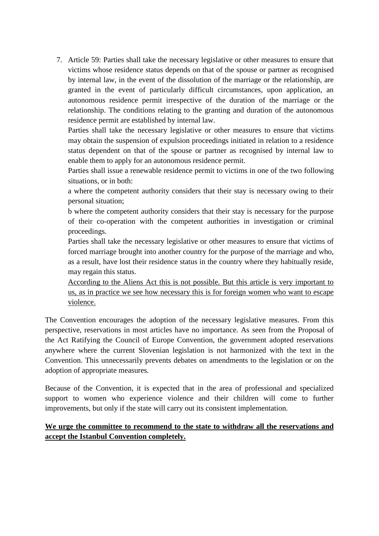7. Article 59: Parties shall take the necessary legislative or other measures to ensure that victims whose residence status depends on that of the spouse or partner as recognised by internal law, in the event of the dissolution of the marriage or the relationship, are granted in the event of particularly difficult circumstances, upon application, an autonomous residence permit irrespective of the duration of the marriage or the relationship. The conditions relating to the granting and duration of the autonomous residence permit are established by internal law.

Parties shall take the necessary legislative or other measures to ensure that victims may obtain the suspension of expulsion proceedings initiated in relation to a residence status dependent on that of the spouse or partner as recognised by internal law to enable them to apply for an autonomous residence permit.

Parties shall issue a renewable residence permit to victims in one of the two following situations, or in both:

a where the competent authority considers that their stay is necessary owing to their personal situation;

b where the competent authority considers that their stay is necessary for the purpose of their co-operation with the competent authorities in investigation or criminal proceedings.

Parties shall take the necessary legislative or other measures to ensure that victims of forced marriage brought into another country for the purpose of the marriage and who, as a result, have lost their residence status in the country where they habitually reside, may regain this status.

According to the Aliens Act this is not possible. But this article is very important to us, as in practice we see how necessary this is for foreign women who want to escape violence.

The Convention encourages the adoption of the necessary legislative measures. From this perspective, reservations in most articles have no importance. As seen from the Proposal of the Act Ratifying the Council of Europe Convention, the government adopted reservations anywhere where the current Slovenian legislation is not harmonized with the text in the Convention. This unnecessarily prevents debates on amendments to the legislation or on the adoption of appropriate measures*.*

Because of the Convention, it is expected that in the area of professional and specialized support to women who experience violence and their children will come to further improvements, but only if the state will carry out its consistent implementation.

### **We urge the committee to recommend to the state to withdraw all the reservations and accept the Istanbul Convention completely.**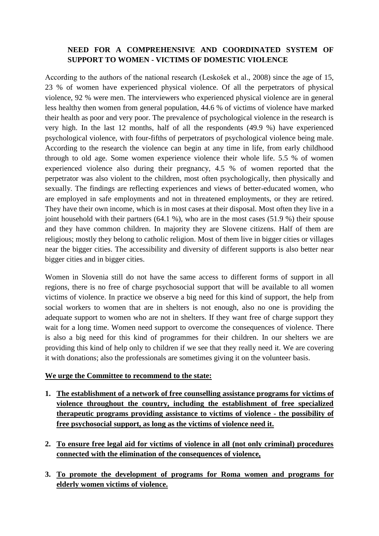### **NEED FOR A COMPREHENSIVE AND COORDINATED SYSTEM OF SUPPORT TO WOMEN - VICTIMS OF DOMESTIC VIOLENCE**

According to the authors of the national research (Leskošek et al., 2008) since the age of 15, 23 % of women have experienced physical violence. Of all the perpetrators of physical violence, 92 % were men. The interviewers who experienced physical violence are in general less healthy then women from general population, 44.6 % of victims of violence have marked their health as poor and very poor. The prevalence of psychological violence in the research is very high. In the last 12 months, half of all the respondents (49.9 %) have experienced psychological violence, with four-fifths of perpetrators of psychological violence being male. According to the research the violence can begin at any time in life, from early childhood through to old age. Some women experience violence their whole life. 5.5 % of women experienced violence also during their pregnancy, 4.5 % of women reported that the perpetrator was also violent to the children, most often psychologically, then physically and sexually. The findings are reflecting experiences and views of better-educated women, who are employed in safe employments and not in threatened employments, or they are retired. They have their own income, which is in most cases at their disposal. Most often they live in a joint household with their partners (64.1 %), who are in the most cases (51.9 %) their spouse and they have common children. In majority they are Slovene citizens. Half of them are religious; mostly they belong to catholic religion. Most of them live in bigger cities or villages near the bigger cities. The accessibility and diversity of different supports is also better near bigger cities and in bigger cities.

Women in Slovenia still do not have the same access to different forms of support in all regions, there is no free of charge psychosocial support that will be available to all women victims of violence. In practice we observe a big need for this kind of support, the help from social workers to women that are in shelters is not enough, also no one is providing the adequate support to women who are not in shelters. If they want free of charge support they wait for a long time. Women need support to overcome the consequences of violence. There is also a big need for this kind of programmes for their children. In our shelters we are providing this kind of help only to children if we see that they really need it. We are covering it with donations; also the professionals are sometimes giving it on the volunteer basis.

#### **We urge the Committee to recommend to the state:**

- **1. The establishment of a network of free counselling assistance programs for victims of violence throughout the country, including the establishment of free specialized therapeutic programs providing assistance to victims of violence - the possibility of free psychosocial support, as long as the victims of violence need it.**
- **2. To ensure free legal aid for victims of violence in all (not only criminal) procedures connected with the elimination of the consequences of violence,**
- **3. To promote the development of programs for Roma women and programs for elderly women victims of violence.**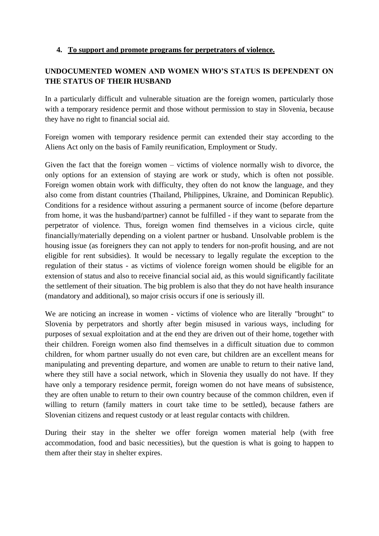### **4. To support and promote programs for perpetrators of violence.**

### **UNDOCUMENTED WOMEN AND WOMEN WHO'S STATUS IS DEPENDENT ON THE STATUS OF THEIR HUSBAND**

In a particularly difficult and vulnerable situation are the foreign women, particularly those with a temporary residence permit and those without permission to stay in Slovenia, because they have no right to financial social aid.

Foreign women with temporary residence permit can extended their stay according to the Aliens Act only on the basis of Family reunification, Employment or Study.

Given the fact that the foreign women – victims of violence normally wish to divorce, the only options for an extension of staying are work or study, which is often not possible. Foreign women obtain work with difficulty, they often do not know the language, and they also come from distant countries (Thailand, Philippines, Ukraine, and Dominican Republic). Conditions for a residence without assuring a permanent source of income (before departure from home, it was the husband/partner) cannot be fulfilled - if they want to separate from the perpetrator of violence. Thus, foreign women find themselves in a vicious circle, quite financially/materially depending on a violent partner or husband. Unsolvable problem is the housing issue (as foreigners they can not apply to tenders for non-profit housing, and are not eligible for rent subsidies). It would be necessary to legally regulate the exception to the regulation of their status - as victims of violence foreign women should be eligible for an extension of status and also to receive financial social aid, as this would significantly facilitate the settlement of their situation. The big problem is also that they do not have health insurance (mandatory and additional), so major crisis occurs if one is seriously ill.

We are noticing an increase in women - victims of violence who are literally "brought" to Slovenia by perpetrators and shortly after begin misused in various ways, including for purposes of sexual exploitation and at the end they are driven out of their home, together with their children. Foreign women also find themselves in a difficult situation due to common children, for whom partner usually do not even care, but children are an excellent means for manipulating and preventing departure, and women are unable to return to their native land, where they still have a social network, which in Slovenia they usually do not have. If they have only a temporary residence permit, foreign women do not have means of subsistence, they are often unable to return to their own country because of the common children, even if willing to return (family matters in court take time to be settled), because fathers are Slovenian citizens and request custody or at least regular contacts with children.

During their stay in the shelter we offer foreign women material help (with free accommodation, food and basic necessities), but the question is what is going to happen to them after their stay in shelter expires.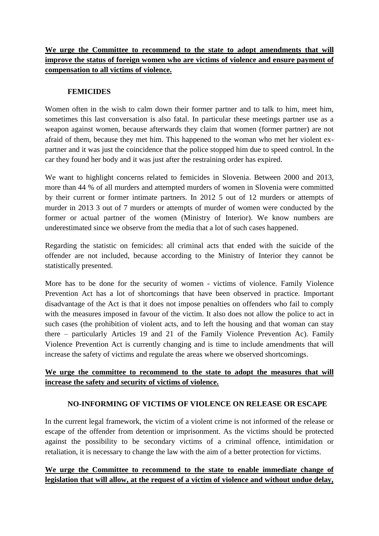## **We urge the Committee to recommend to the state to adopt amendments that will improve the status of foreign women who are victims of violence and ensure payment of compensation to all victims of violence.**

#### **FEMICIDES**

Women often in the wish to calm down their former partner and to talk to him, meet him, sometimes this last conversation is also fatal. In particular these meetings partner use as a weapon against women, because afterwards they claim that women (former partner) are not afraid of them, because they met him. This happened to the woman who met her violent expartner and it was just the coincidence that the police stopped him due to speed control. In the car they found her body and it was just after the restraining order has expired.

We want to highlight concerns related to femicides in Slovenia. Between 2000 and 2013, more than 44 % of all murders and attempted murders of women in Slovenia were committed by their current or former intimate partners. In 2012 5 out of 12 murders or attempts of murder in 2013 3 out of 7 murders or attempts of murder of women were conducted by the former or actual partner of the women (Ministry of Interior). We know numbers are underestimated since we observe from the media that a lot of such cases happened.

Regarding the statistic on femicides: all criminal acts that ended with the suicide of the offender are not included, because according to the Ministry of Interior they cannot be statistically presented.

More has to be done for the security of women - victims of violence. Family Violence Prevention Act has a lot of shortcomings that have been observed in practice. Important disadvantage of the Act is that it does not impose penalties on offenders who fail to comply with the measures imposed in favour of the victim. It also does not allow the police to act in such cases (the prohibition of violent acts, and to left the housing and that woman can stay there – particularly Articles 19 and 21 of the Family Violence Prevention Ac). Family Violence Prevention Act is currently changing and is time to include amendments that will increase the safety of victims and regulate the areas where we observed shortcomings.

### **We urge the committee to recommend to the state to adopt the measures that will increase the safety and security of victims of violence.**

#### **NO-INFORMING OF VICTIMS OF VIOLENCE ON RELEASE OR ESCAPE**

In the current legal framework, the victim of a violent crime is not informed of the release or escape of the offender from detention or imprisonment. As the victims should be protected against the possibility to be secondary victims of a criminal offence, intimidation or retaliation, it is necessary to change the law with the aim of a better protection for victims.

### **We urge the Committee to recommend to the state to enable immediate change of legislation that will allow, at the request of a victim of violence and without undue delay,**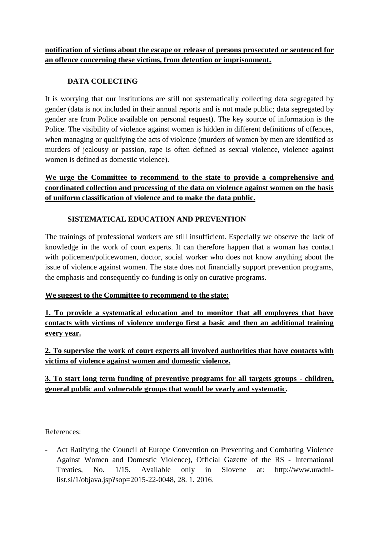### **notification of victims about the escape or release of persons prosecuted or sentenced for an offence concerning these victims, from detention or imprisonment.**

### **DATA COLECTING**

It is worrying that our institutions are still not systematically collecting data segregated by gender (data is not included in their annual reports and is not made public; data segregated by gender are from Police available on personal request). The key source of information is the Police. The visibility of violence against women is hidden in different definitions of offences, when managing or qualifying the acts of violence (murders of women by men are identified as murders of jealousy or passion, rape is often defined as sexual violence, violence against women is defined as domestic violence).

## **We urge the Committee to recommend to the state to provide a comprehensive and coordinated collection and processing of the data on violence against women on the basis of uniform classification of violence and to make the data public.**

### **SISTEMATICAL EDUCATION AND PREVENTION**

The trainings of professional workers are still insufficient. Especially we observe the lack of knowledge in the work of court experts. It can therefore happen that a woman has contact with policemen/policewomen, doctor, social worker who does not know anything about the issue of violence against women. The state does not financially support prevention programs, the emphasis and consequently co-funding is only on curative programs.

### **We suggest to the Committee to recommend to the state:**

**1. To provide a systematical education and to monitor that all employees that have contacts with victims of violence undergo first a basic and then an additional training every year.**

**2. To supervise the work of court experts all involved authorities that have contacts with victims of violence against women and domestic violence.**

### **3. To start long term funding of preventive programs for all targets groups - children, general public and vulnerable groups that would be yearly and systematic.**

References:

- Act Ratifying the Council of Europe Convention on Preventing and Combating Violence Against Women and Domestic Violence), Official Gazette of the RS - International Treaties, No. 1/15. Available only in Slovene at: http://www.uradnilist.si/1/objava.jsp?sop=2015-22-0048, 28. 1. 2016.